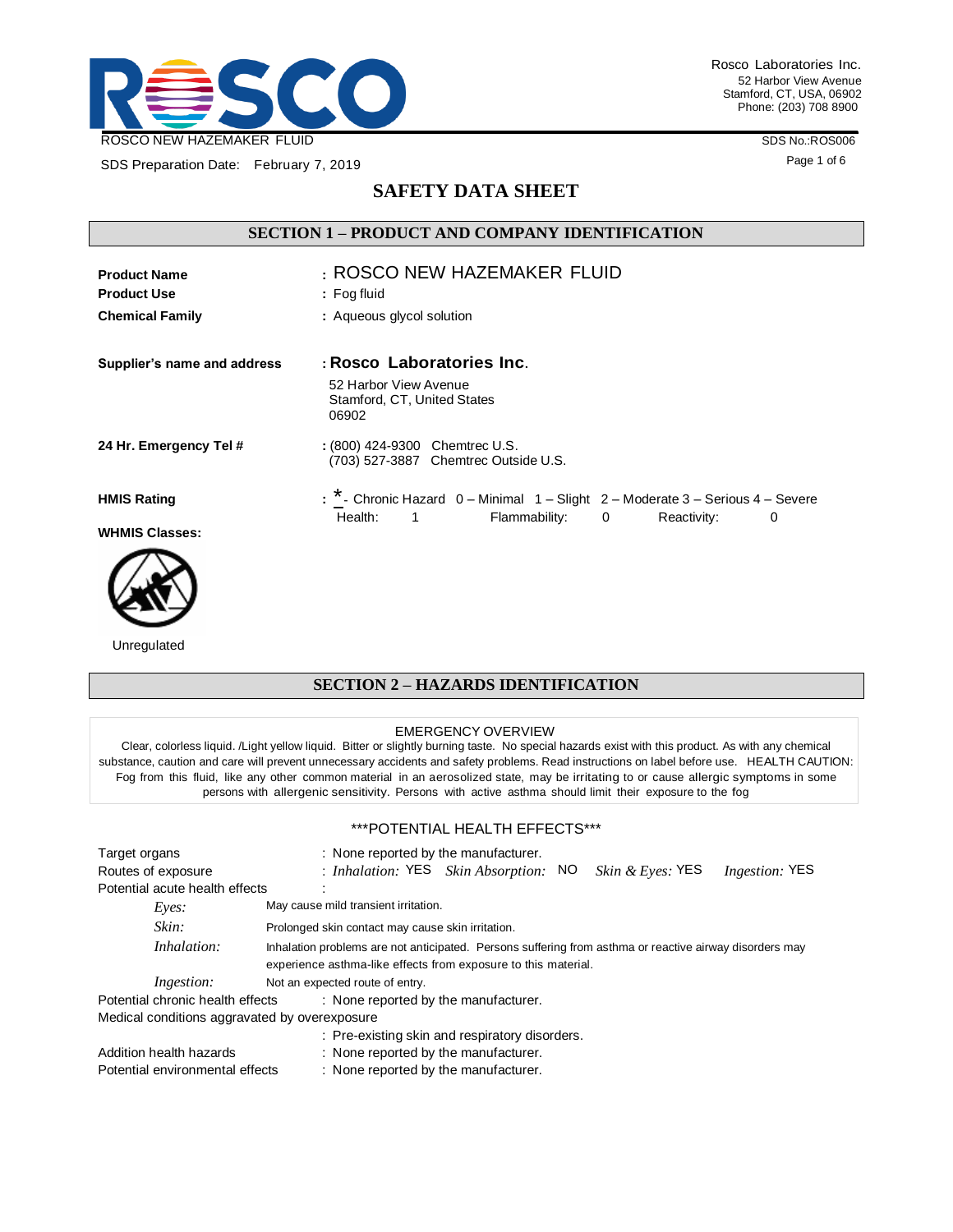

SDS Preparation Date: February 7, 2019

Rosco Laboratories Inc. 52 Harbor View Avenue Stamford, CT, USA, 06902 Phone: (203) 708 8900

SDS No.:ROS006

Page 1 of 6

## **SAFETY DATA SHEET**

## **SECTION 1 – PRODUCT AND COMPANY IDENTIFICATION**

| <b>Product Name</b><br><b>Product Use</b> | : ROSCO NEW HAZEMAKER FLUID<br>$:$ Fog fluid                                                                                                         |  |  |
|-------------------------------------------|------------------------------------------------------------------------------------------------------------------------------------------------------|--|--|
| <b>Chemical Family</b>                    | : Aqueous glycol solution                                                                                                                            |  |  |
| Supplier's name and address               | : Rosco Laboratories Inc.                                                                                                                            |  |  |
|                                           | 52 Harbor View Avenue<br>Stamford, CT, United States<br>06902                                                                                        |  |  |
| 24 Hr. Emergency Tel #                    | : (800) 424-9300 Chemtrec U.S.<br>(703) 527-3887 Chemtrec Outside U.S.                                                                               |  |  |
| <b>HMIS Rating</b>                        | : * - Chronic Hazard 0 - Minimal 1 - Slight 2 - Moderate 3 - Serious 4 - Severe<br>Health:<br>Flammability:<br>$\mathbf{1}$<br>0<br>Reactivity:<br>0 |  |  |
| <b>WHMIS Classes:</b>                     |                                                                                                                                                      |  |  |



Unregulated

# **SECTION 2 – HAZARDS IDENTIFICATION**

#### EMERGENCY OVERVIEW

Clear, colorless liquid. /Light yellow liquid. Bitter or slightly burning taste. No special hazards exist with this product. As with any chemical substance, caution and care will prevent unnecessary accidents and safety problems. Read instructions on label before use. HEALTH CAUTION: Fog from this fluid, like any other common material in an aerosolized state, may be irritating to or cause allergic symptoms in some persons with allergenic sensitivity. Persons with active asthma should limit their exposure to the fog

#### \*\*\*POTENTIAL HEALTH EFFECTS\*\*\*

| Target organs<br>Routes of exposure                                      | : None reported by the manufacturer.<br>: Inhalation: YES Skin Absorption: NO<br><i>Skin &amp; Eyes:</i> YES<br><i>Ingestion:</i> YES |  |  |
|--------------------------------------------------------------------------|---------------------------------------------------------------------------------------------------------------------------------------|--|--|
| Potential acute health effects                                           |                                                                                                                                       |  |  |
| Eves:                                                                    | May cause mild transient irritation.                                                                                                  |  |  |
| Skin:                                                                    | Prolonged skin contact may cause skin irritation.                                                                                     |  |  |
| Inhalation:                                                              | Inhalation problems are not anticipated. Persons suffering from asthma or reactive airway disorders may                               |  |  |
|                                                                          | experience asthma-like effects from exposure to this material.                                                                        |  |  |
| <i>Ingestion:</i>                                                        | Not an expected route of entry.                                                                                                       |  |  |
| Potential chronic health effects<br>: None reported by the manufacturer. |                                                                                                                                       |  |  |
| Medical conditions aggravated by overexposure                            |                                                                                                                                       |  |  |
|                                                                          | : Pre-existing skin and respiratory disorders.                                                                                        |  |  |
| Addition health hazards<br>: None reported by the manufacturer.          |                                                                                                                                       |  |  |
| Potential environmental effects<br>: None reported by the manufacturer.  |                                                                                                                                       |  |  |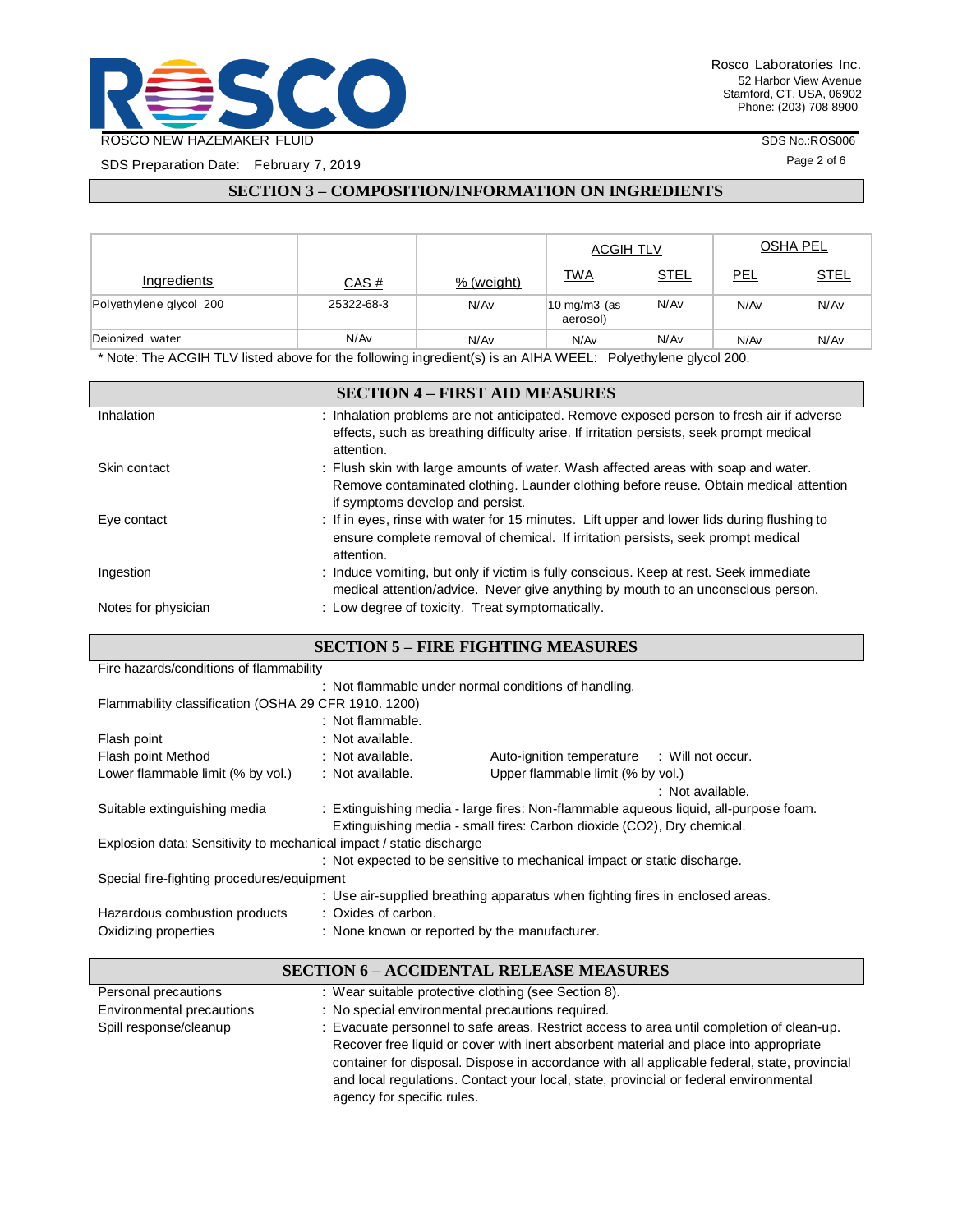

SDS Preparation Date: February 7, 2019

SDS No.:ROS006

Page 2 of 6

## **SECTION 3 – COMPOSITION/INFORMATION ON INGREDIENTS**

|                         |            |            | <b>ACGIH TLV</b>          |             |      | <b>OSHA PEL</b> |
|-------------------------|------------|------------|---------------------------|-------------|------|-----------------|
| Ingredients             | CAS #      | % (weight) | <b>TWA</b>                | <b>STEL</b> | PEL  | <b>STEL</b>     |
| Polyethylene glycol 200 | 25322-68-3 | N/Av       | !10 mg/m3 (as<br>aerosol) | N/Av        | N/Av | N/Av            |
| Deionized water         | N/Av       | N/Av       | N/Av                      | N/Av        | N/Av | N/Av            |

\* Note: The ACGIH TLV listed above for the following ingredient(s) is an AIHA WEEL: Polyethylene glycol 200.

|                     | <b>SECTION 4 – FIRST AID MEASURES</b>                                                                                     |
|---------------------|---------------------------------------------------------------------------------------------------------------------------|
| Inhalation          | : Inhalation problems are not anticipated. Remove exposed person to fresh air if adverse                                  |
|                     | effects, such as breathing difficulty arise. If irritation persists, seek prompt medical<br>attention.                    |
| Skin contact        | : Flush skin with large amounts of water. Wash affected areas with soap and water.                                        |
|                     | Remove contaminated clothing. Launder clothing before reuse. Obtain medical attention<br>if symptoms develop and persist. |
| Eye contact         | : If in eyes, rinse with water for 15 minutes. Lift upper and lower lids during flushing to                               |
|                     | ensure complete removal of chemical. If irritation persists, seek prompt medical<br>attention.                            |
| Ingestion           | : Induce vomiting, but only if victim is fully conscious. Keep at rest. Seek immediate                                    |
|                     | medical attention/advice. Never give anything by mouth to an unconscious person.                                          |
| Notes for physician | : Low degree of toxicity. Treat symptomatically.                                                                          |

### **SECTION 5 – FIRE FIGHTING MEASURES**

| Fire hazards/conditions of flammability                             |                                                      |                                                                                      |                  |
|---------------------------------------------------------------------|------------------------------------------------------|--------------------------------------------------------------------------------------|------------------|
|                                                                     | : Not flammable under normal conditions of handling. |                                                                                      |                  |
| Flammability classification (OSHA 29 CFR 1910, 1200)                |                                                      |                                                                                      |                  |
|                                                                     | : Not flammable.                                     |                                                                                      |                  |
| Flash point                                                         | : Not available.                                     |                                                                                      |                  |
| Flash point Method                                                  | : Not available.                                     | Auto-ignition temperature : Will not occur.                                          |                  |
| Lower flammable limit (% by vol.)                                   | : Not available.                                     | Upper flammable limit (% by vol.)                                                    |                  |
|                                                                     |                                                      |                                                                                      | : Not available. |
| Suitable extinguishing media                                        |                                                      | : Extinguishing media - large fires: Non-flammable aqueous liquid, all-purpose foam. |                  |
|                                                                     |                                                      | Extinguishing media - small fires: Carbon dioxide (CO2), Dry chemical.               |                  |
| Explosion data: Sensitivity to mechanical impact / static discharge |                                                      |                                                                                      |                  |
|                                                                     |                                                      | : Not expected to be sensitive to mechanical impact or static discharge.             |                  |
| Special fire-fighting procedures/equipment                          |                                                      |                                                                                      |                  |
|                                                                     |                                                      | : Use air-supplied breathing apparatus when fighting fires in enclosed areas.        |                  |
| Hazardous combustion products                                       | : Oxides of carbon.                                  |                                                                                      |                  |
| Oxidizing properties                                                | : None known or reported by the manufacturer.        |                                                                                      |                  |

## **SECTION 6 – ACCIDENTAL RELEASE MEASURES**

| Personal precautions      | : Wear suitable protective clothing (see Section 8).                                         |
|---------------------------|----------------------------------------------------------------------------------------------|
| Environmental precautions | : No special environmental precautions required.                                             |
| Spill response/cleanup    | : Evacuate personnel to safe areas. Restrict access to area until completion of clean-up.    |
|                           | Recover free liquid or cover with inert absorbent material and place into appropriate        |
|                           | container for disposal. Dispose in accordance with all applicable federal, state, provincial |
|                           | and local regulations. Contact your local, state, provincial or federal environmental        |
|                           | agency for specific rules.                                                                   |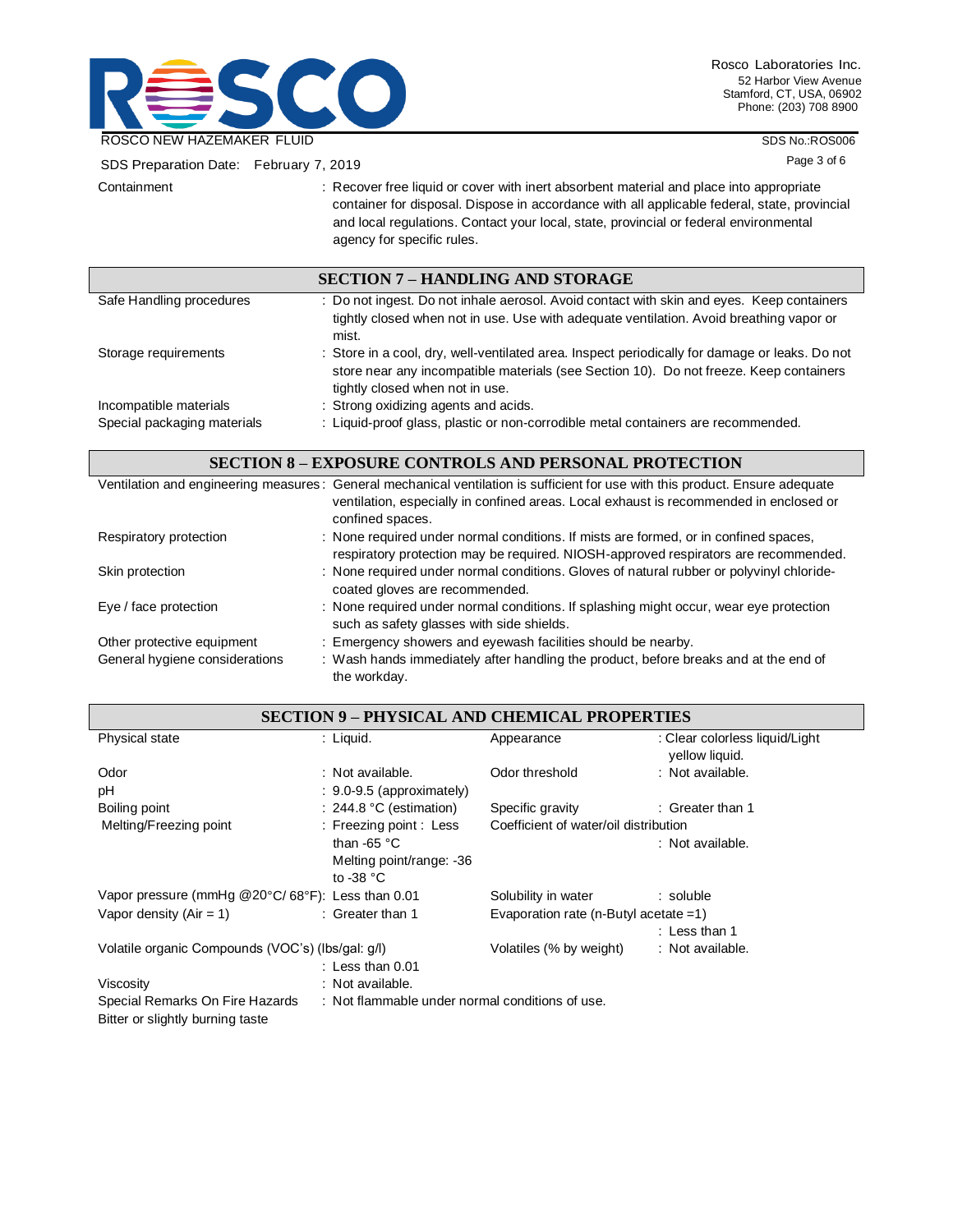

SDS No.:ROS006

| SDS Preparation Date: February 7, 2019 |                                                                                                                                                                                                                                                                                                                | Page 3 of 6 |
|----------------------------------------|----------------------------------------------------------------------------------------------------------------------------------------------------------------------------------------------------------------------------------------------------------------------------------------------------------------|-------------|
| Containment                            | : Recover free liquid or cover with inert absorbent material and place into appropriate<br>container for disposal. Dispose in accordance with all applicable federal, state, provincial<br>and local regulations. Contact your local, state, provincial or federal environmental<br>agency for specific rules. |             |
|                                        | <b>SECTION 7 – HANDLING AND STORAGE</b>                                                                                                                                                                                                                                                                        |             |
| Safe Handling procedures               | : Do not ingest. Do not inhale aerosol. Avoid contact with skin and eyes. Keep containers<br>tightly closed when not in use. Use with adequate ventilation. Avoid breathing vapor or<br>mist.                                                                                                                  |             |
| Storage requirements                   | : Store in a cool, dry, well-ventilated area. Inspect periodically for damage or leaks. Do not<br>store near any incompatible materials (see Section 10). Do not freeze. Keep containers<br>tightly closed when not in use.                                                                                    |             |
| Incompatible materials                 | : Strong oxidizing agents and acids.                                                                                                                                                                                                                                                                           |             |
| Special packaging materials            | : Liquid-proof glass, plastic or non-corrodible metal containers are recommended.                                                                                                                                                                                                                              |             |
|                                        | <b>SECTION 8 - EXPOSURE CONTROLS AND PERSONAL PROTECTION</b>                                                                                                                                                                                                                                                   |             |
|                                        | Ventilation and engineering measures: General mechanical ventilation is sufficient for use with this product. Ensure adequate<br>ventilation, especially in confined areas. Local exhaust is recommended in enclosed or<br>confined spaces.                                                                    |             |
| Respiratory protection                 | : None required under normal conditions. If mists are formed, or in confined spaces,<br>respiratory protection may be required. NIOSH-approved respirators are recommended.                                                                                                                                    |             |
| Skin protection                        | : None required under normal conditions. Gloves of natural rubber or polyvinyl chloride-<br>coated gloves are recommended.                                                                                                                                                                                     |             |
| Eye / face protection                  | : None required under normal conditions. If splashing might occur, wear eye protection<br>such as safety glasses with side shields.                                                                                                                                                                            |             |
| Other protective equipment             | : Emergency showers and eyewash facilities should be nearby.                                                                                                                                                                                                                                                   |             |
| General hygiene considerations         | : Wash hands immediately after handling the product, before breaks and at the end of<br>the workday.                                                                                                                                                                                                           |             |
|                                        | <b>SECTION 9 - PHYSICAL AND CHEMICAL PROPERTIES</b>                                                                                                                                                                                                                                                            |             |

|                                                   |                                                 | bection 7 – I ii i bical and chemical I noi en Heg |                                                  |  |
|---------------------------------------------------|-------------------------------------------------|----------------------------------------------------|--------------------------------------------------|--|
| Physical state                                    | : Liquid.                                       | Appearance                                         | : Clear colorless liquid/Light<br>yellow liquid. |  |
| Odor                                              | : Not available.                                | Odor threshold                                     | : Not available.                                 |  |
| рH                                                | $: 9.0 - 9.5$ (approximately)                   |                                                    |                                                  |  |
| Boiling point                                     | $: 244.8 °C$ (estimation)                       | Specific gravity                                   | : Greater than 1                                 |  |
| Melting/Freezing point                            | : Freezing point : Less                         | Coefficient of water/oil distribution              |                                                  |  |
|                                                   | than -65 $\degree$ C                            |                                                    | : Not available.                                 |  |
|                                                   | Melting point/range: -36                        |                                                    |                                                  |  |
|                                                   | to -38 $^{\circ}$ C                             |                                                    |                                                  |  |
| Vapor pressure (mmHg @20°C/68°F): Less than 0.01  |                                                 | Solubility in water                                | : soluble                                        |  |
| : Greater than 1<br>Vapor density $(Air = 1)$     |                                                 | Evaporation rate (n-Butyl acetate $=1$ )           |                                                  |  |
|                                                   |                                                 |                                                    | : Less than 1                                    |  |
| Volatile organic Compounds (VOC's) (lbs/gal: g/l) |                                                 | Volatiles (% by weight)                            | : Not available.                                 |  |
|                                                   | : Less than $0.01$                              |                                                    |                                                  |  |
| Viscosity                                         | : Not available.                                |                                                    |                                                  |  |
| Special Remarks On Fire Hazards                   | : Not flammable under normal conditions of use. |                                                    |                                                  |  |
| Bitter or slightly burning taste                  |                                                 |                                                    |                                                  |  |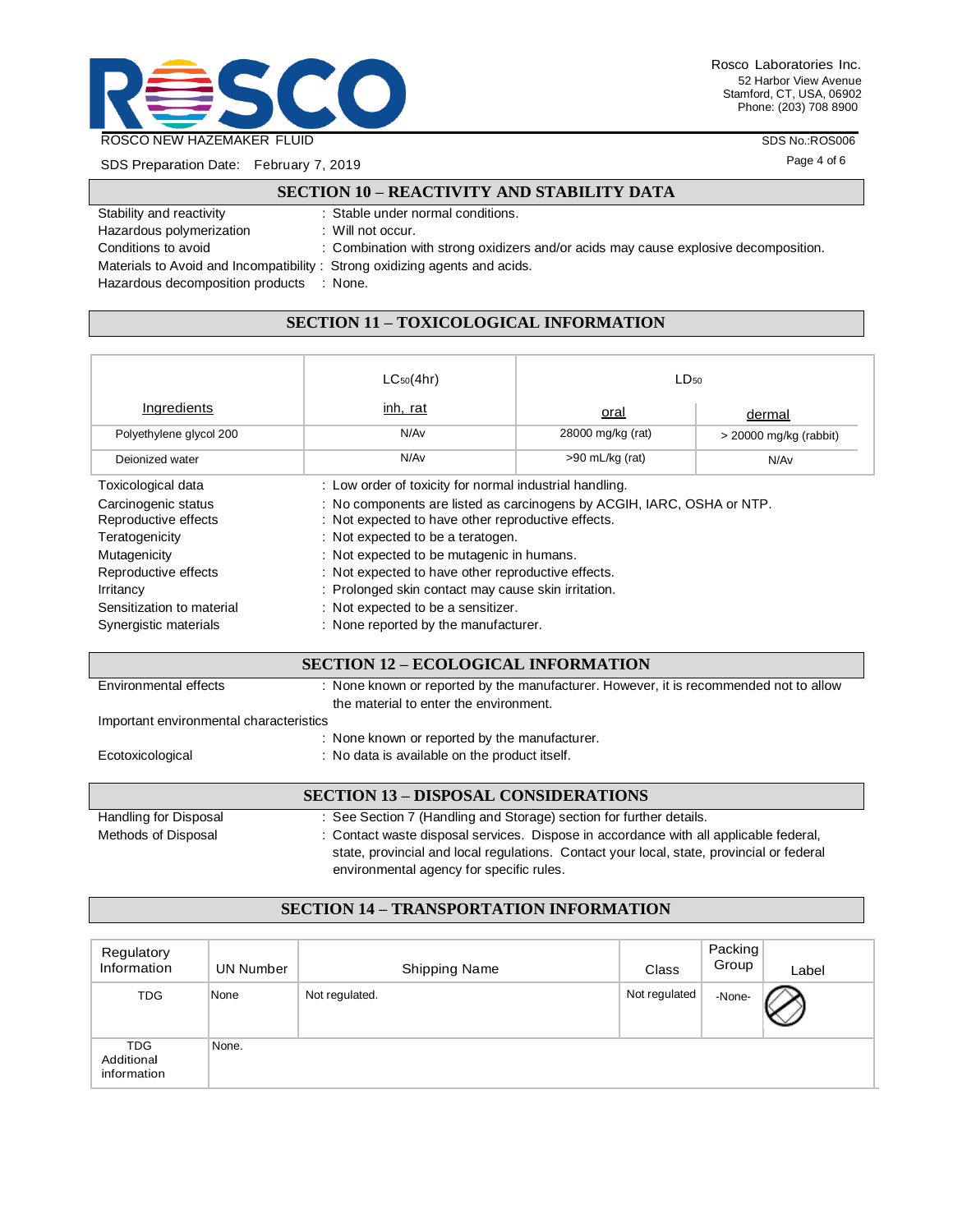

SDS Preparation Date: February 7, 2019

L

SDS No.:ROS006

Page 4 of 6

|                                                                            | <b>SECTION 10 - REACTIVITY AND STABILITY DATA</b>                                   |
|----------------------------------------------------------------------------|-------------------------------------------------------------------------------------|
| Stability and reactivity                                                   | : Stable under normal conditions.                                                   |
| Hazardous polymerization                                                   | : Will not occur.                                                                   |
| Conditions to avoid                                                        | : Combination with strong oxidizers and/or acids may cause explosive decomposition. |
| Materials to Avoid and Incompatibility: Strong oxidizing agents and acids. |                                                                                     |
| Hazardous decomposition products : None.                                   |                                                                                     |

# **SECTION 11 – TOXICOLOGICAL INFORMATION**

|                                             | $LC_{50}(4hr)$                                                                                                               | $LD_{50}$         |                          |  |
|---------------------------------------------|------------------------------------------------------------------------------------------------------------------------------|-------------------|--------------------------|--|
| Ingredients                                 | inh, rat                                                                                                                     | <u>oral</u>       | dermal                   |  |
| Polyethylene glycol 200                     | N/Av                                                                                                                         | 28000 mg/kg (rat) | $>$ 20000 mg/kg (rabbit) |  |
| Deionized water                             | N/Av                                                                                                                         | $>90$ mL/kg (rat) | N/Av                     |  |
| Toxicological data                          | : Low order of toxicity for normal industrial handling.                                                                      |                   |                          |  |
| Carcinogenic status<br>Reproductive effects | : No components are listed as carcinogens by ACGIH, IARC, OSHA or NTP.<br>: Not expected to have other reproductive effects. |                   |                          |  |
| Teratogenicity                              | : Not expected to be a teratogen.                                                                                            |                   |                          |  |
| Mutagenicity                                | : Not expected to be mutagenic in humans.                                                                                    |                   |                          |  |
| Reproductive effects                        | : Not expected to have other reproductive effects.                                                                           |                   |                          |  |
| Irritancy                                   | : Prolonged skin contact may cause skin irritation.                                                                          |                   |                          |  |
| Sensitization to material                   | : Not expected to be a sensitizer.                                                                                           |                   |                          |  |
| Synergistic materials                       | : None reported by the manufacturer.                                                                                         |                   |                          |  |

|  |  | <b>SECTION 12 - ECOLOGICAL INFORMATION</b> |  |
|--|--|--------------------------------------------|--|
|  |  |                                            |  |

| Environmental effects                   | : None known or reported by the manufacturer. However, it is recommended not to allow                                                                                              |
|-----------------------------------------|------------------------------------------------------------------------------------------------------------------------------------------------------------------------------------|
|                                         | the material to enter the environment.                                                                                                                                             |
| Important environmental characteristics |                                                                                                                                                                                    |
|                                         | : None known or reported by the manufacturer.                                                                                                                                      |
| Ecotoxicological                        | : No data is available on the product itself.                                                                                                                                      |
|                                         |                                                                                                                                                                                    |
|                                         | <b>SECTION 13 - DISPOSAL CONSIDERATIONS</b>                                                                                                                                        |
| Handling for Disposal                   | : See Section 7 (Handling and Storage) section for further details.                                                                                                                |
| Methods of Disposal                     | : Contact waste disposal services. Dispose in accordance with all applicable federal,<br>state, provincial and local regulations. Contact your local, state, provincial or federal |

### **SECTION 14 – TRANSPORTATION INFORMATION**

environmental agency for specific rules.

| Regulatory<br>Information               | UN Number | <b>Shipping Name</b> | Class         | Packing<br>Group | Label |
|-----------------------------------------|-----------|----------------------|---------------|------------------|-------|
| <b>TDG</b>                              | None      | Not regulated.       | Not regulated | -None-           |       |
| <b>TDG</b><br>Additional<br>information | None.     |                      |               |                  |       |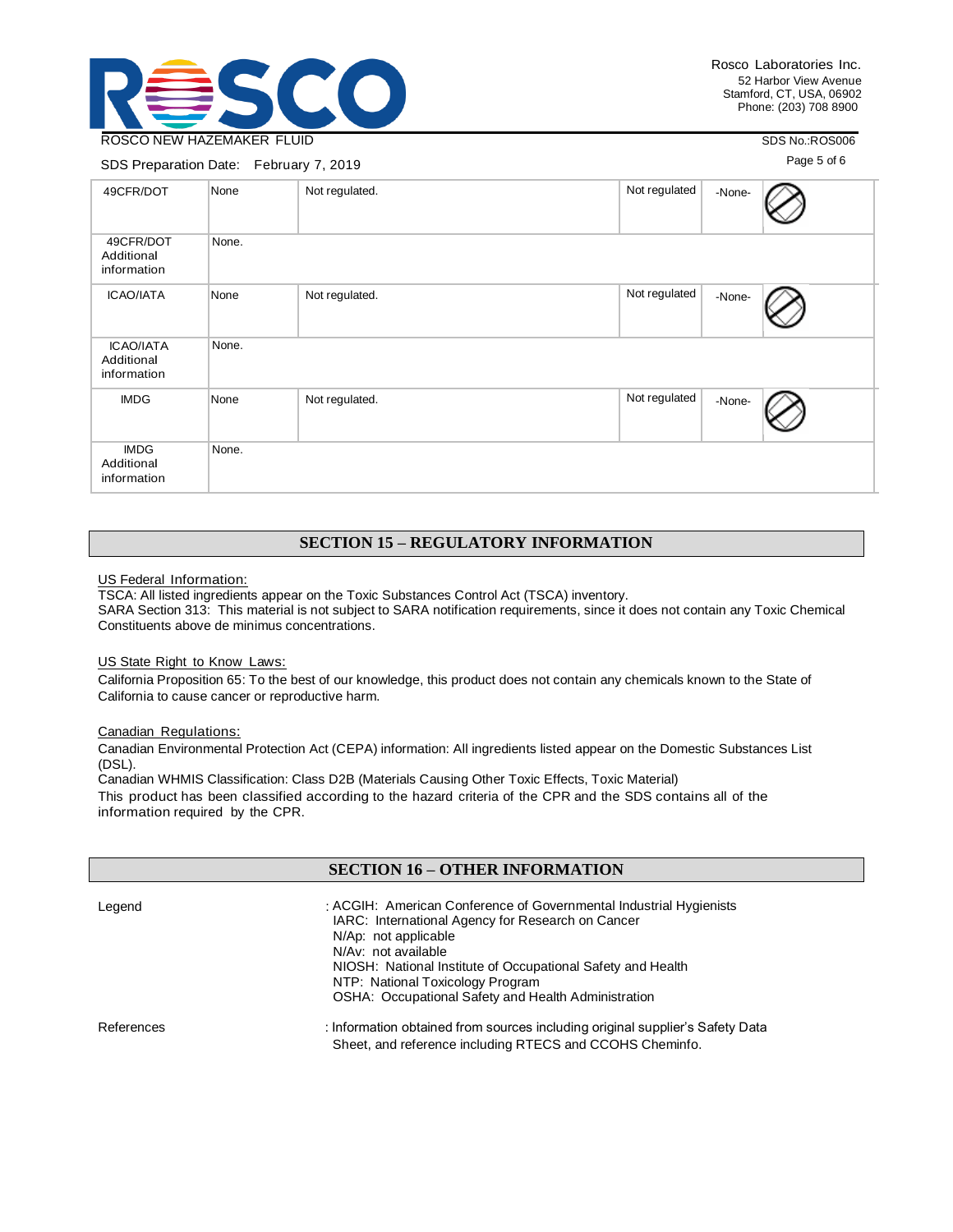

SDS No.:ROS006

### SDS Preparation Date: February 7, 2019

Page 5 of 6

| 49CFR/DOT                                     | None  | Not regulated. | Not regulated<br>-None- |
|-----------------------------------------------|-------|----------------|-------------------------|
| 49CFR/DOT<br>Additional<br>information        | None. |                |                         |
| <b>ICAO/IATA</b>                              | None  | Not regulated. | Not regulated<br>-None- |
| <b>ICAO/IATA</b><br>Additional<br>information | None. |                |                         |
| <b>IMDG</b>                                   | None  | Not regulated. | Not regulated<br>-None- |
| <b>IMDG</b><br>Additional<br>information      | None. |                |                         |

## **SECTION 15 – REGULATORY INFORMATION**

#### US Federal Information:

TSCA: All listed ingredients appear on the Toxic Substances Control Act (TSCA) inventory. SARA Section 313: This material is not subject to SARA notification requirements, since it does not contain any Toxic Chemical Constituents above de minimus concentrations.

#### US State Right to Know Laws:

California Proposition 65: To the best of our knowledge, this product does not contain any chemicals known to the State of California to cause cancer or reproductive harm.

#### Canadian Regulations:

Canadian Environmental Protection Act (CEPA) information: All ingredients listed appear on the Domestic Substances List (DSL).

Canadian WHMIS Classification: Class D2B (Materials Causing Other Toxic Effects, Toxic Material) This product has been classified according to the hazard criteria of the CPR and the SDS contains all of the information required by the CPR.

### **SECTION 16 – OTHER INFORMATION**

| Legend     | : ACGIH: American Conference of Governmental Industrial Hygienists<br>IARC: International Agency for Research on Cancer<br>N/Ap: not applicable<br>N/Av: not available<br>NIOSH: National Institute of Occupational Safety and Health<br>NTP: National Toxicology Program<br>OSHA: Occupational Safety and Health Administration |
|------------|----------------------------------------------------------------------------------------------------------------------------------------------------------------------------------------------------------------------------------------------------------------------------------------------------------------------------------|
| References | : Information obtained from sources including original supplier's Safety Data<br>Sheet, and reference including RTECS and CCOHS Cheminfo.                                                                                                                                                                                        |